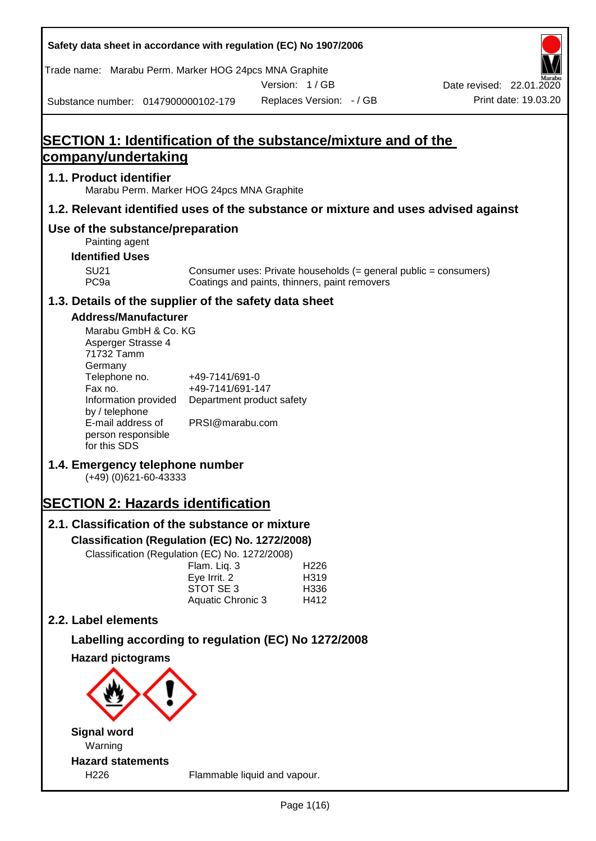| Safety data sheet in accordance with regulation (EC) No 1907/2006                                |                                    |                                                                                                                   |                          |
|--------------------------------------------------------------------------------------------------|------------------------------------|-------------------------------------------------------------------------------------------------------------------|--------------------------|
| Trade name: Marabu Perm. Marker HOG 24pcs MNA Graphite                                           |                                    | Version: 1/GB                                                                                                     | Date revised: 22.01.2020 |
| Substance number: 0147900000102-179                                                              |                                    | Replaces Version: - / GB                                                                                          | Print date: 19.03.20     |
|                                                                                                  |                                    |                                                                                                                   |                          |
| <b>SECTION 1: Identification of the substance/mixture and of the</b>                             |                                    |                                                                                                                   |                          |
| company/undertaking                                                                              |                                    |                                                                                                                   |                          |
| 1.1. Product identifier<br>Marabu Perm. Marker HOG 24pcs MNA Graphite                            |                                    |                                                                                                                   |                          |
| 1.2. Relevant identified uses of the substance or mixture and uses advised against               |                                    |                                                                                                                   |                          |
| Use of the substance/preparation<br>Painting agent                                               |                                    |                                                                                                                   |                          |
| <b>Identified Uses</b>                                                                           |                                    |                                                                                                                   |                          |
| <b>SU21</b><br>PC <sub>9a</sub>                                                                  |                                    | Consumer uses: Private households (= general public = consumers)<br>Coatings and paints, thinners, paint removers |                          |
| 1.3. Details of the supplier of the safety data sheet                                            |                                    |                                                                                                                   |                          |
| <b>Address/Manufacturer</b>                                                                      |                                    |                                                                                                                   |                          |
| Marabu GmbH & Co. KG<br>Asperger Strasse 4<br>71732 Tamm<br>Germany                              |                                    |                                                                                                                   |                          |
| Telephone no.<br>Fax no.                                                                         | +49-7141/691-0<br>+49-7141/691-147 |                                                                                                                   |                          |
| Information provided<br>by / telephone                                                           | Department product safety          |                                                                                                                   |                          |
| E-mail address of<br>person responsible<br>for this SDS                                          | PRSI@marabu.com                    |                                                                                                                   |                          |
| 1.4. Emergency telephone number<br>$(+49)$ (0)621-60-43333                                       |                                    |                                                                                                                   |                          |
| <b>SECTION 2: Hazards identification</b>                                                         |                                    |                                                                                                                   |                          |
| 2.1. Classification of the substance or mixture                                                  |                                    |                                                                                                                   |                          |
| Classification (Regulation (EC) No. 1272/2008)<br>Classification (Regulation (EC) No. 1272/2008) |                                    |                                                                                                                   |                          |
|                                                                                                  | Flam. Liq. 3                       | H <sub>226</sub>                                                                                                  |                          |
|                                                                                                  | Eye Irrit. 2<br>STOT SE 3          | H319<br>H336                                                                                                      |                          |
|                                                                                                  | Aquatic Chronic 3                  | H412                                                                                                              |                          |
| 2.2. Label elements                                                                              |                                    |                                                                                                                   |                          |
| Labelling according to regulation (EC) No 1272/2008                                              |                                    |                                                                                                                   |                          |
| <b>Hazard pictograms</b>                                                                         |                                    |                                                                                                                   |                          |
|                                                                                                  |                                    |                                                                                                                   |                          |
| <b>Signal word</b><br>Warning                                                                    |                                    |                                                                                                                   |                          |
| <b>Hazard statements</b>                                                                         |                                    |                                                                                                                   |                          |
| H226                                                                                             |                                    | Flammable liquid and vapour.                                                                                      |                          |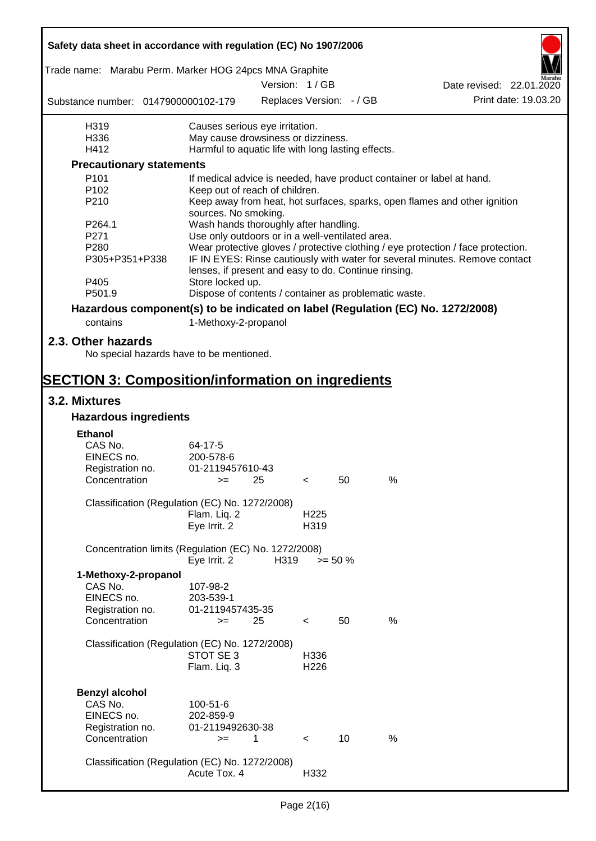| Safety data sheet in accordance with regulation (EC) No 1907/2006                                                          |                                                                          |               |                          |                          |                                                                                  |  |  |
|----------------------------------------------------------------------------------------------------------------------------|--------------------------------------------------------------------------|---------------|--------------------------|--------------------------|----------------------------------------------------------------------------------|--|--|
| Trade name: Marabu Perm. Marker HOG 24pcs MNA Graphite                                                                     |                                                                          | Version: 1/GB |                          |                          |                                                                                  |  |  |
|                                                                                                                            |                                                                          |               |                          |                          | Date revised: 22.01.2020                                                         |  |  |
| Substance number: 0147900000102-179                                                                                        |                                                                          |               |                          | Replaces Version: - / GB | Print date: 19.03.20                                                             |  |  |
| H319                                                                                                                       | Causes serious eye irritation.                                           |               |                          |                          |                                                                                  |  |  |
| H336                                                                                                                       | May cause drowsiness or dizziness.                                       |               |                          |                          |                                                                                  |  |  |
| H412                                                                                                                       | Harmful to aquatic life with long lasting effects.                       |               |                          |                          |                                                                                  |  |  |
| <b>Precautionary statements</b>                                                                                            |                                                                          |               |                          |                          |                                                                                  |  |  |
| P <sub>101</sub>                                                                                                           |                                                                          |               |                          |                          | If medical advice is needed, have product container or label at hand.            |  |  |
| P <sub>102</sub>                                                                                                           | Keep out of reach of children.                                           |               |                          |                          |                                                                                  |  |  |
| P210                                                                                                                       | sources. No smoking.                                                     |               |                          |                          | Keep away from heat, hot surfaces, sparks, open flames and other ignition        |  |  |
| P264.1                                                                                                                     | Wash hands thoroughly after handling.                                    |               |                          |                          |                                                                                  |  |  |
| P271                                                                                                                       | Use only outdoors or in a well-ventilated area.                          |               |                          |                          |                                                                                  |  |  |
| P <sub>280</sub>                                                                                                           |                                                                          |               |                          |                          | Wear protective gloves / protective clothing / eye protection / face protection. |  |  |
| P305+P351+P338                                                                                                             |                                                                          |               |                          |                          | IF IN EYES: Rinse cautiously with water for several minutes. Remove contact      |  |  |
| P405                                                                                                                       | lenses, if present and easy to do. Continue rinsing.<br>Store locked up. |               |                          |                          |                                                                                  |  |  |
| P501.9                                                                                                                     | Dispose of contents / container as problematic waste.                    |               |                          |                          |                                                                                  |  |  |
|                                                                                                                            |                                                                          |               |                          |                          | Hazardous component(s) to be indicated on label (Regulation (EC) No. 1272/2008)  |  |  |
|                                                                                                                            |                                                                          |               |                          |                          |                                                                                  |  |  |
| contains                                                                                                                   | 1-Methoxy-2-propanol                                                     |               |                          |                          |                                                                                  |  |  |
| 2.3. Other hazards<br>No special hazards have to be mentioned.<br><b>SECTION 3: Composition/information on ingredients</b> |                                                                          |               |                          |                          |                                                                                  |  |  |
|                                                                                                                            |                                                                          |               |                          |                          |                                                                                  |  |  |
| 3.2. Mixtures<br><b>Hazardous ingredients</b>                                                                              |                                                                          |               |                          |                          |                                                                                  |  |  |
|                                                                                                                            |                                                                          |               |                          |                          |                                                                                  |  |  |
| <b>Ethanol</b>                                                                                                             |                                                                          |               |                          |                          |                                                                                  |  |  |
| CAS No.                                                                                                                    | 64-17-5                                                                  |               |                          |                          |                                                                                  |  |  |
| EINECS no.                                                                                                                 | 200-578-6                                                                |               |                          |                          |                                                                                  |  |  |
| Registration no.                                                                                                           | 01-2119457610-43                                                         |               |                          |                          |                                                                                  |  |  |
| Concentration                                                                                                              | $>=$ 25                                                                  |               | $\sim$ $\sim$            | 50                       | $\%$                                                                             |  |  |
| Classification (Regulation (EC) No. 1272/2008)                                                                             |                                                                          |               |                          |                          |                                                                                  |  |  |
|                                                                                                                            | Flam. Liq. 2                                                             |               | H <sub>225</sub>         |                          |                                                                                  |  |  |
|                                                                                                                            | Eye Irrit. 2                                                             |               | H319                     |                          |                                                                                  |  |  |
|                                                                                                                            |                                                                          |               |                          |                          |                                                                                  |  |  |
| Concentration limits (Regulation (EC) No. 1272/2008)                                                                       | Eye Irrit. 2                                                             | H319          |                          | $>= 50 \%$               |                                                                                  |  |  |
| 1-Methoxy-2-propanol                                                                                                       |                                                                          |               |                          |                          |                                                                                  |  |  |
| CAS No.                                                                                                                    |                                                                          |               |                          |                          |                                                                                  |  |  |
| EINECS no.                                                                                                                 | 107-98-2<br>203-539-1                                                    |               |                          |                          |                                                                                  |  |  |
|                                                                                                                            | 01-2119457435-35                                                         |               |                          |                          |                                                                                  |  |  |
| Registration no.<br>Concentration                                                                                          | $=$                                                                      | 25            |                          | 50                       | $\%$                                                                             |  |  |
|                                                                                                                            |                                                                          |               | $\,<\,$                  |                          |                                                                                  |  |  |
| Classification (Regulation (EC) No. 1272/2008)                                                                             |                                                                          |               |                          |                          |                                                                                  |  |  |
|                                                                                                                            | STOT SE 3                                                                |               | H336                     |                          |                                                                                  |  |  |
|                                                                                                                            | Flam. Liq. 3                                                             |               | H226                     |                          |                                                                                  |  |  |
|                                                                                                                            |                                                                          |               |                          |                          |                                                                                  |  |  |
|                                                                                                                            |                                                                          |               |                          |                          |                                                                                  |  |  |
| <b>Benzyl alcohol</b>                                                                                                      |                                                                          |               |                          |                          |                                                                                  |  |  |
| CAS No.                                                                                                                    | 100-51-6                                                                 |               |                          |                          |                                                                                  |  |  |
| EINECS no.                                                                                                                 | 202-859-9                                                                |               |                          |                          |                                                                                  |  |  |
| Registration no.                                                                                                           | 01-2119492630-38                                                         |               |                          |                          |                                                                                  |  |  |
| Concentration                                                                                                              | $=$                                                                      | 1             | $\overline{\phantom{0}}$ | 10                       | %                                                                                |  |  |
|                                                                                                                            |                                                                          |               |                          |                          |                                                                                  |  |  |
| Classification (Regulation (EC) No. 1272/2008)                                                                             |                                                                          |               |                          |                          |                                                                                  |  |  |
|                                                                                                                            | Acute Tox. 4                                                             |               | H332                     |                          |                                                                                  |  |  |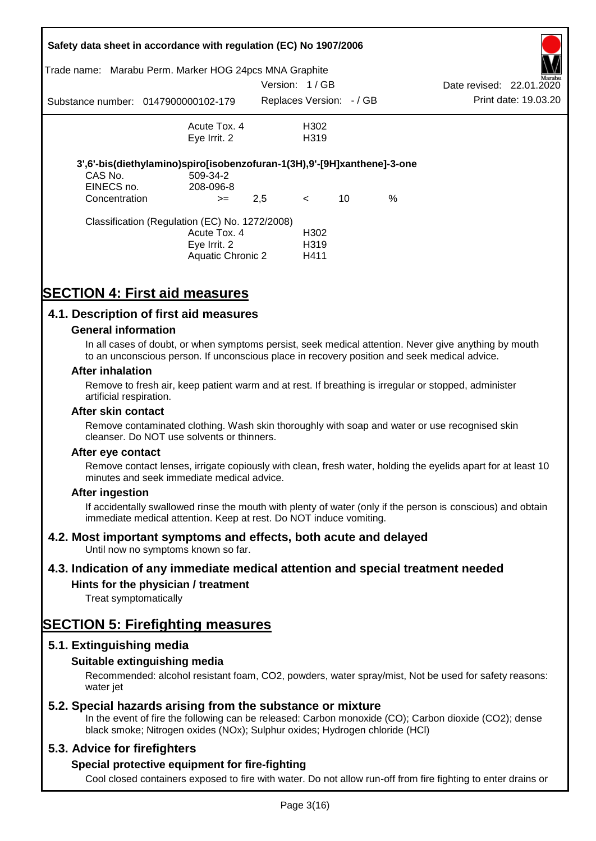|               | Safety data sheet in accordance with regulation (EC) No 1907/2006       |               |                          |    |      |                          |                      |
|---------------|-------------------------------------------------------------------------|---------------|--------------------------|----|------|--------------------------|----------------------|
|               | Trade name: Marabu Perm. Marker HOG 24pcs MNA Graphite                  |               |                          |    |      |                          | Marabu               |
|               |                                                                         | Version: 1/GB |                          |    |      | Date revised: 22.01.2020 |                      |
|               | Substance number: 0147900000102-179                                     |               | Replaces Version: - / GB |    |      |                          | Print date: 19.03.20 |
|               | Acute Tox. 4                                                            |               | H302                     |    |      |                          |                      |
|               | Eye Irrit. 2                                                            |               | H <sub>3</sub> 19        |    |      |                          |                      |
|               | 3',6'-bis(diethylamino)spiro[isobenzofuran-1(3H),9'-[9H]xanthene]-3-one |               |                          |    |      |                          |                      |
| CAS No.       | 509-34-2                                                                |               |                          |    |      |                          |                      |
| EINECS no.    | 208-096-8                                                               |               |                          |    |      |                          |                      |
| Concentration | $>=$                                                                    | 2,5           | $\lt$                    | 10 | $\%$ |                          |                      |
|               | Classification (Regulation (EC) No. 1272/2008)                          |               |                          |    |      |                          |                      |
|               | Acute Tox. 4                                                            |               | H <sub>302</sub>         |    |      |                          |                      |
|               | Eye Irrit. 2                                                            |               | H <sub>3</sub> 19        |    |      |                          |                      |
|               | Aquatic Chronic 2                                                       |               | H411                     |    |      |                          |                      |

# **SECTION 4: First aid measures**

## **4.1. Description of first aid measures**

#### **General information**

In all cases of doubt, or when symptoms persist, seek medical attention. Never give anything by mouth to an unconscious person. If unconscious place in recovery position and seek medical advice.

#### **After inhalation**

Remove to fresh air, keep patient warm and at rest. If breathing is irregular or stopped, administer artificial respiration.

#### **After skin contact**

Remove contaminated clothing. Wash skin thoroughly with soap and water or use recognised skin cleanser. Do NOT use solvents or thinners.

#### **After eye contact**

Remove contact lenses, irrigate copiously with clean, fresh water, holding the eyelids apart for at least 10 minutes and seek immediate medical advice.

#### **After ingestion**

If accidentally swallowed rinse the mouth with plenty of water (only if the person is conscious) and obtain immediate medical attention. Keep at rest. Do NOT induce vomiting.

## **4.2. Most important symptoms and effects, both acute and delayed**

Until now no symptoms known so far.

## **4.3. Indication of any immediate medical attention and special treatment needed**

## **Hints for the physician / treatment**

Treat symptomatically

# **SECTION 5: Firefighting measures**

## **5.1. Extinguishing media**

## **Suitable extinguishing media**

Recommended: alcohol resistant foam, CO2, powders, water spray/mist, Not be used for safety reasons: water *iet* 

## **5.2. Special hazards arising from the substance or mixture**

In the event of fire the following can be released: Carbon monoxide (CO); Carbon dioxide (CO2); dense black smoke; Nitrogen oxides (NOx); Sulphur oxides; Hydrogen chloride (HCl)

## **5.3. Advice for firefighters**

## **Special protective equipment for fire-fighting**

Cool closed containers exposed to fire with water. Do not allow run-off from fire fighting to enter drains or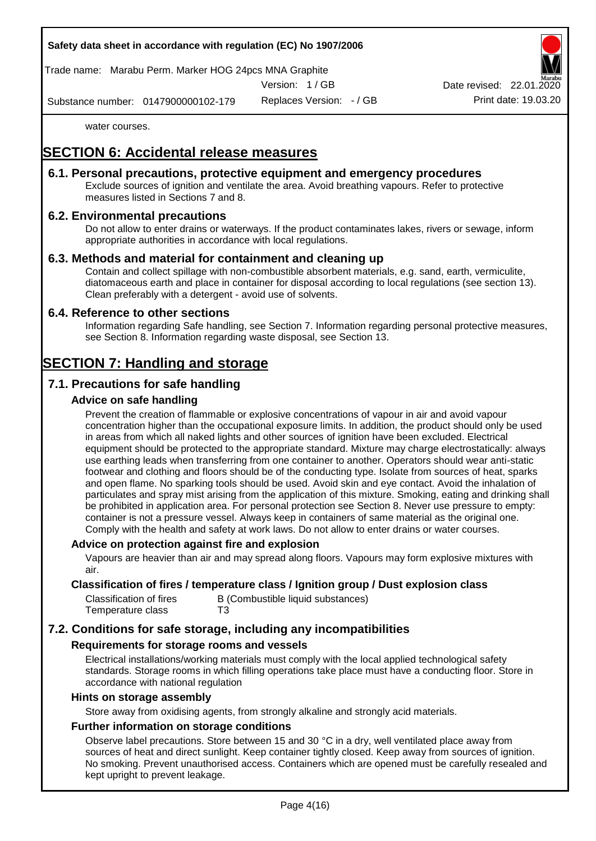Trade name: Marabu Perm. Marker HOG 24pcs MNA Graphite

Version: 1 / GB

Replaces Version: - / GB Print date: 19.03.20 Date revised: 22.01.

Substance number: 0147900000102-179

water courses.

# **SECTION 6: Accidental release measures**

## **6.1. Personal precautions, protective equipment and emergency procedures**

Exclude sources of ignition and ventilate the area. Avoid breathing vapours. Refer to protective measures listed in Sections 7 and 8.

## **6.2. Environmental precautions**

Do not allow to enter drains or waterways. If the product contaminates lakes, rivers or sewage, inform appropriate authorities in accordance with local regulations.

## **6.3. Methods and material for containment and cleaning up**

Contain and collect spillage with non-combustible absorbent materials, e.g. sand, earth, vermiculite, diatomaceous earth and place in container for disposal according to local regulations (see section 13). Clean preferably with a detergent - avoid use of solvents.

## **6.4. Reference to other sections**

Information regarding Safe handling, see Section 7. Information regarding personal protective measures, see Section 8. Information regarding waste disposal, see Section 13.

# **SECTION 7: Handling and storage**

## **7.1. Precautions for safe handling**

## **Advice on safe handling**

Prevent the creation of flammable or explosive concentrations of vapour in air and avoid vapour concentration higher than the occupational exposure limits. In addition, the product should only be used in areas from which all naked lights and other sources of ignition have been excluded. Electrical equipment should be protected to the appropriate standard. Mixture may charge electrostatically: always use earthing leads when transferring from one container to another. Operators should wear anti-static footwear and clothing and floors should be of the conducting type. Isolate from sources of heat, sparks and open flame. No sparking tools should be used. Avoid skin and eye contact. Avoid the inhalation of particulates and spray mist arising from the application of this mixture. Smoking, eating and drinking shall be prohibited in application area. For personal protection see Section 8. Never use pressure to empty: container is not a pressure vessel. Always keep in containers of same material as the original one. Comply with the health and safety at work laws. Do not allow to enter drains or water courses.

## **Advice on protection against fire and explosion**

Vapours are heavier than air and may spread along floors. Vapours may form explosive mixtures with air.

#### **Classification of fires / temperature class / Ignition group / Dust explosion class**

| Classification of fires | B (Combustible liquid substances) |
|-------------------------|-----------------------------------|
| Temperature class       | T3                                |

# **7.2. Conditions for safe storage, including any incompatibilities**

## **Requirements for storage rooms and vessels**

Electrical installations/working materials must comply with the local applied technological safety standards. Storage rooms in which filling operations take place must have a conducting floor. Store in accordance with national regulation

#### **Hints on storage assembly**

Store away from oxidising agents, from strongly alkaline and strongly acid materials.

## **Further information on storage conditions**

Observe label precautions. Store between 15 and 30 °C in a dry, well ventilated place away from sources of heat and direct sunlight. Keep container tightly closed. Keep away from sources of ignition. No smoking. Prevent unauthorised access. Containers which are opened must be carefully resealed and kept upright to prevent leakage.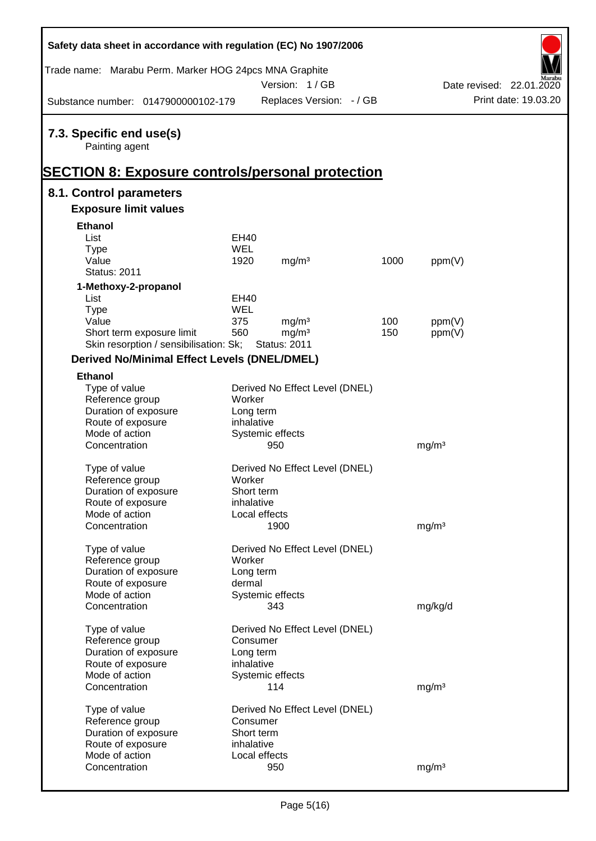| Safety data sheet in accordance with regulation (EC) No 1907/2006                                     |            |                                          |                          |      |                   |                          |
|-------------------------------------------------------------------------------------------------------|------------|------------------------------------------|--------------------------|------|-------------------|--------------------------|
| Trade name: Marabu Perm. Marker HOG 24pcs MNA Graphite                                                |            | Version: 1/GB                            |                          |      |                   | Date revised: 22.01.2020 |
| Substance number: 0147900000102-179                                                                   |            |                                          | Replaces Version: - / GB |      |                   | Print date: 19.03.20     |
| 7.3. Specific end use(s)<br>Painting agent<br><b>SECTION 8: Exposure controls/personal protection</b> |            |                                          |                          |      |                   |                          |
| 8.1. Control parameters                                                                               |            |                                          |                          |      |                   |                          |
| <b>Exposure limit values</b>                                                                          |            |                                          |                          |      |                   |                          |
| <b>Ethanol</b>                                                                                        |            |                                          |                          |      |                   |                          |
| List                                                                                                  | EH40       |                                          |                          |      |                   |                          |
| <b>Type</b>                                                                                           | <b>WEL</b> |                                          |                          |      |                   |                          |
| Value                                                                                                 | 1920       | mg/m <sup>3</sup>                        |                          | 1000 | ppm(V)            |                          |
| <b>Status: 2011</b>                                                                                   |            |                                          |                          |      |                   |                          |
| 1-Methoxy-2-propanol                                                                                  |            |                                          |                          |      |                   |                          |
| List                                                                                                  | EH40       |                                          |                          |      |                   |                          |
| <b>Type</b>                                                                                           | <b>WEL</b> |                                          |                          |      |                   |                          |
| Value                                                                                                 | 375        | mg/m <sup>3</sup>                        |                          | 100  | ppm(V)            |                          |
| Short term exposure limit<br>Skin resorption / sensibilisation: Sk;                                   | 560        | mg/m <sup>3</sup><br><b>Status: 2011</b> |                          | 150  | ppm(V)            |                          |
|                                                                                                       |            |                                          |                          |      |                   |                          |
| <b>Derived No/Minimal Effect Levels (DNEL/DMEL)</b>                                                   |            |                                          |                          |      |                   |                          |
| <b>Ethanol</b>                                                                                        |            |                                          |                          |      |                   |                          |
| Type of value                                                                                         |            | Derived No Effect Level (DNEL)           |                          |      |                   |                          |
| Reference group                                                                                       | Worker     |                                          |                          |      |                   |                          |
| Duration of exposure                                                                                  | Long term  |                                          |                          |      |                   |                          |
| Route of exposure<br>Mode of action                                                                   | inhalative | Systemic effects                         |                          |      |                   |                          |
| Concentration                                                                                         |            | 950                                      |                          |      | mg/m <sup>3</sup> |                          |
|                                                                                                       |            |                                          |                          |      |                   |                          |
| Type of value                                                                                         |            | Derived No Effect Level (DNEL)           |                          |      |                   |                          |
| Reference group                                                                                       | Worker     |                                          |                          |      |                   |                          |
| Duration of exposure                                                                                  | Short term |                                          |                          |      |                   |                          |
| Route of exposure                                                                                     | inhalative |                                          |                          |      |                   |                          |
| Mode of action                                                                                        |            | Local effects                            |                          |      |                   |                          |
| Concentration                                                                                         |            | 1900                                     |                          |      | mg/m <sup>3</sup> |                          |
|                                                                                                       |            |                                          |                          |      |                   |                          |
| Type of value                                                                                         |            | Derived No Effect Level (DNEL)           |                          |      |                   |                          |
| Reference group                                                                                       | Worker     |                                          |                          |      |                   |                          |
| Duration of exposure                                                                                  | Long term  |                                          |                          |      |                   |                          |
| Route of exposure<br>Mode of action                                                                   | dermal     | Systemic effects                         |                          |      |                   |                          |
| Concentration                                                                                         |            | 343                                      |                          |      | mg/kg/d           |                          |
|                                                                                                       |            |                                          |                          |      |                   |                          |
| Type of value                                                                                         |            | Derived No Effect Level (DNEL)           |                          |      |                   |                          |
| Reference group                                                                                       | Consumer   |                                          |                          |      |                   |                          |
| Duration of exposure                                                                                  | Long term  |                                          |                          |      |                   |                          |
| Route of exposure                                                                                     | inhalative |                                          |                          |      |                   |                          |
| Mode of action                                                                                        |            | Systemic effects                         |                          |      |                   |                          |
| Concentration                                                                                         |            | 114                                      |                          |      | mg/m <sup>3</sup> |                          |
|                                                                                                       |            |                                          |                          |      |                   |                          |
| Type of value                                                                                         |            | Derived No Effect Level (DNEL)           |                          |      |                   |                          |
| Reference group                                                                                       | Consumer   |                                          |                          |      |                   |                          |
| Duration of exposure                                                                                  | Short term |                                          |                          |      |                   |                          |
| Route of exposure<br>Mode of action                                                                   | inhalative | Local effects                            |                          |      |                   |                          |
| Concentration                                                                                         |            | 950                                      |                          |      | mg/m <sup>3</sup> |                          |
|                                                                                                       |            |                                          |                          |      |                   |                          |

Г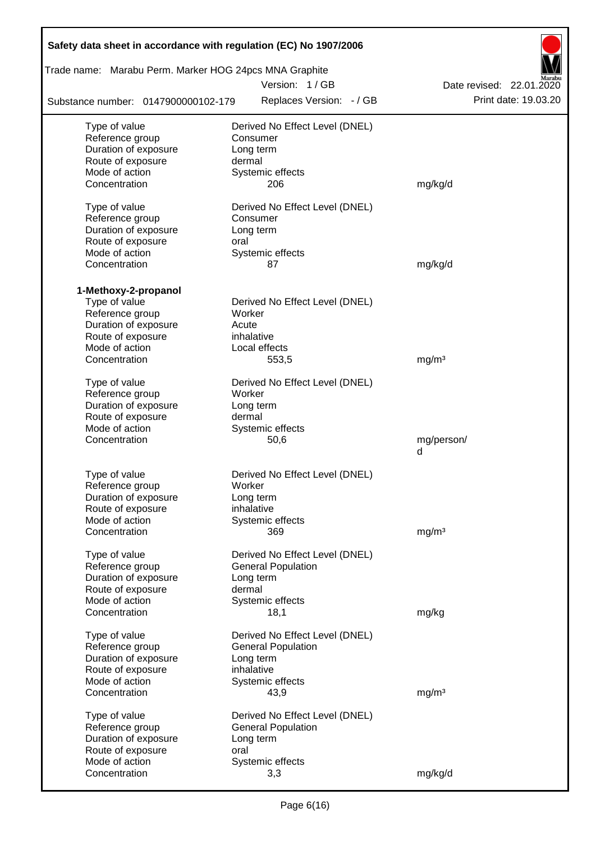| Safety data sheet in accordance with regulation (EC) No 1907/2006 |                                        |                          |
|-------------------------------------------------------------------|----------------------------------------|--------------------------|
| Trade name: Marabu Perm. Marker HOG 24pcs MNA Graphite            |                                        |                          |
|                                                                   | Version: 1/GB                          | Date revised: 22.01.2020 |
| Substance number: 0147900000102-179                               | Replaces Version: - / GB               | Print date: 19.03.20     |
| Type of value                                                     | Derived No Effect Level (DNEL)         |                          |
| Reference group                                                   | Consumer                               |                          |
| Duration of exposure                                              | Long term                              |                          |
| Route of exposure                                                 | dermal                                 |                          |
| Mode of action                                                    | Systemic effects                       |                          |
| Concentration                                                     | 206                                    | mg/kg/d                  |
| Type of value                                                     | Derived No Effect Level (DNEL)         |                          |
| Reference group                                                   | Consumer                               |                          |
| Duration of exposure                                              | Long term                              |                          |
| Route of exposure                                                 | oral                                   |                          |
| Mode of action                                                    | Systemic effects                       |                          |
| Concentration                                                     | 87                                     | mg/kg/d                  |
|                                                                   |                                        |                          |
| 1-Methoxy-2-propanol                                              |                                        |                          |
| Type of value                                                     | Derived No Effect Level (DNEL)         |                          |
| Reference group                                                   | Worker                                 |                          |
| Duration of exposure                                              | Acute                                  |                          |
| Route of exposure                                                 | inhalative                             |                          |
| Mode of action                                                    | Local effects                          |                          |
| Concentration                                                     | 553,5                                  | mg/m <sup>3</sup>        |
| Type of value                                                     | Derived No Effect Level (DNEL)         |                          |
| Reference group                                                   | Worker                                 |                          |
| Duration of exposure                                              | Long term                              |                          |
| Route of exposure                                                 | dermal                                 |                          |
| Mode of action                                                    | Systemic effects                       |                          |
| Concentration                                                     | 50,6                                   | mg/person/               |
|                                                                   |                                        | d                        |
| Type of value                                                     | Derived No Effect Level (DNEL)         |                          |
| Reference group                                                   | Worker                                 |                          |
| Duration of exposure                                              | Long term                              |                          |
| Route of exposure                                                 | inhalative                             |                          |
| Mode of action                                                    | Systemic effects                       |                          |
| Concentration                                                     | 369                                    | mg/m <sup>3</sup>        |
|                                                                   | Derived No Effect Level (DNEL)         |                          |
| Type of value                                                     |                                        |                          |
| Reference group<br>Duration of exposure                           | <b>General Population</b><br>Long term |                          |
| Route of exposure                                                 | dermal                                 |                          |
| Mode of action                                                    | Systemic effects                       |                          |
| Concentration                                                     | 18,1                                   | mg/kg                    |
|                                                                   |                                        |                          |
| Type of value                                                     | Derived No Effect Level (DNEL)         |                          |
| Reference group                                                   | <b>General Population</b>              |                          |
| Duration of exposure                                              | Long term                              |                          |
| Route of exposure                                                 | inhalative                             |                          |
| Mode of action                                                    | Systemic effects                       |                          |
| Concentration                                                     | 43,9                                   | mg/m <sup>3</sup>        |
| Type of value                                                     | Derived No Effect Level (DNEL)         |                          |
| Reference group                                                   | <b>General Population</b>              |                          |
| Duration of exposure                                              | Long term                              |                          |
| Route of exposure                                                 | oral                                   |                          |
| Mode of action                                                    | Systemic effects                       |                          |
| Concentration                                                     | 3,3                                    | mg/kg/d                  |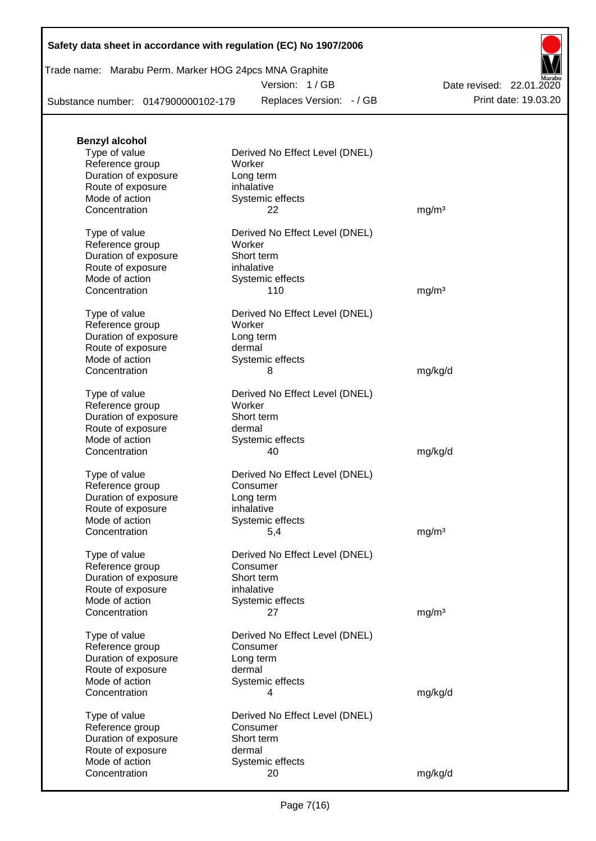| Trade name: Marabu Perm. Marker HOG 24pcs MNA Graphite |  |  |  |
|--------------------------------------------------------|--|--|--|
|--------------------------------------------------------|--|--|--|

Version: 1 / GB

Substance number: 0147900000102-179

Replaces Version: - / GB Print date: 19.03.20 Date revised: 22.01.2020

| <b>Benzyl alcohol</b>                     |                                |                   |
|-------------------------------------------|--------------------------------|-------------------|
| Type of value                             | Derived No Effect Level (DNEL) |                   |
| Reference group                           | Worker                         |                   |
| Duration of exposure<br>Route of exposure | Long term<br>inhalative        |                   |
| Mode of action                            | Systemic effects               |                   |
| Concentration                             | 22                             | mg/m <sup>3</sup> |
|                                           |                                |                   |
| Type of value                             | Derived No Effect Level (DNEL) |                   |
| Reference group                           | Worker                         |                   |
| Duration of exposure                      | Short term                     |                   |
| Route of exposure<br>Mode of action       | inhalative<br>Systemic effects |                   |
| Concentration                             | 110                            | mg/m <sup>3</sup> |
|                                           |                                |                   |
| Type of value                             | Derived No Effect Level (DNEL) |                   |
| Reference group                           | Worker                         |                   |
| Duration of exposure                      | Long term                      |                   |
| Route of exposure<br>Mode of action       | dermal<br>Systemic effects     |                   |
| Concentration                             | 8                              | mg/kg/d           |
|                                           |                                |                   |
| Type of value                             | Derived No Effect Level (DNEL) |                   |
| Reference group                           | Worker                         |                   |
| Duration of exposure                      | Short term                     |                   |
| Route of exposure<br>Mode of action       | dermal                         |                   |
| Concentration                             | Systemic effects<br>40         | mg/kg/d           |
|                                           |                                |                   |
| Type of value                             | Derived No Effect Level (DNEL) |                   |
| Reference group                           | Consumer                       |                   |
| Duration of exposure                      | Long term                      |                   |
| Route of exposure                         | inhalative                     |                   |
| Mode of action<br>Concentration           | Systemic effects<br>5,4        | mg/m <sup>3</sup> |
|                                           |                                |                   |
| Type of value                             | Derived No Effect Level (DNEL) |                   |
| Reference group                           | Consumer                       |                   |
| Duration of exposure                      | Short term                     |                   |
| Route of exposure                         | inhalative                     |                   |
| Mode of action<br>Concentration           | Systemic effects<br>27         | mg/m <sup>3</sup> |
|                                           |                                |                   |
| Type of value                             | Derived No Effect Level (DNEL) |                   |
| Reference group                           | Consumer                       |                   |
| Duration of exposure                      | Long term                      |                   |
| Route of exposure                         | dermal                         |                   |
| Mode of action<br>Concentration           | Systemic effects<br>4          |                   |
|                                           |                                | mg/kg/d           |
| Type of value                             | Derived No Effect Level (DNEL) |                   |
| Reference group                           | Consumer                       |                   |
| Duration of exposure                      | Short term                     |                   |
| Route of exposure                         | dermal                         |                   |
| Mode of action<br>Concentration           | Systemic effects<br>20         |                   |
|                                           |                                | mg/kg/d           |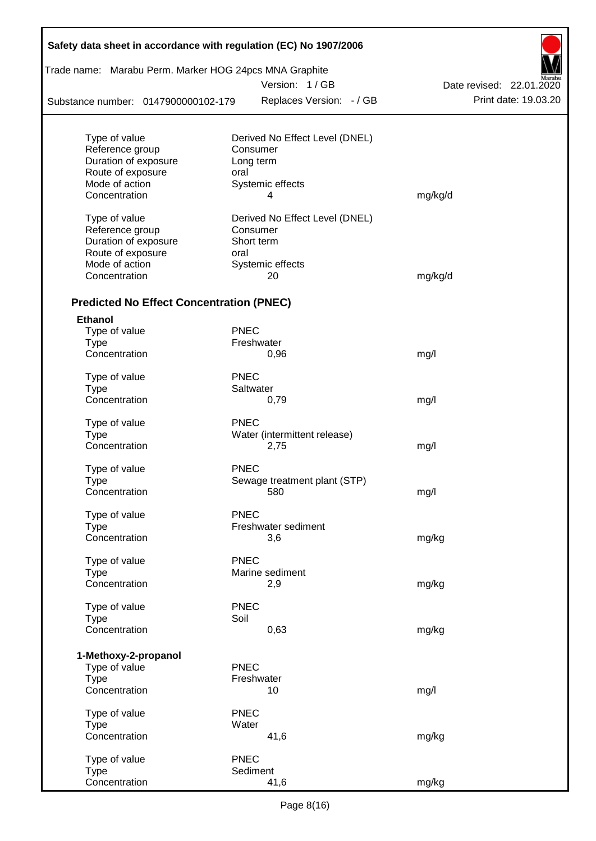| Trade name: Marabu Perm. Marker HOG 24pcs MNA Graphite |             |                                |                          |
|--------------------------------------------------------|-------------|--------------------------------|--------------------------|
|                                                        |             | Version: 1/GB                  | Date revised: 22.01.2020 |
| Substance number: 0147900000102-179                    |             | Replaces Version: - / GB       | Print date: 19.03.20     |
| Type of value                                          |             | Derived No Effect Level (DNEL) |                          |
| Reference group                                        |             | Consumer                       |                          |
| Duration of exposure                                   |             | Long term                      |                          |
| Route of exposure                                      | oral        |                                |                          |
| Mode of action                                         |             | Systemic effects               |                          |
| Concentration                                          |             | 4                              | mg/kg/d                  |
| Type of value                                          |             | Derived No Effect Level (DNEL) |                          |
| Reference group                                        |             | Consumer                       |                          |
| Duration of exposure                                   |             | Short term                     |                          |
| Route of exposure                                      | oral        |                                |                          |
| Mode of action                                         |             | Systemic effects               |                          |
| Concentration                                          |             | 20                             | mg/kg/d                  |
| <b>Predicted No Effect Concentration (PNEC)</b>        |             |                                |                          |
| <b>Ethanol</b>                                         |             |                                |                          |
| Type of value                                          | <b>PNEC</b> |                                |                          |
| <b>Type</b>                                            |             | Freshwater                     |                          |
| Concentration                                          |             | 0,96                           | mg/l                     |
| Type of value                                          | <b>PNEC</b> |                                |                          |
| <b>Type</b>                                            |             | Saltwater                      |                          |
| Concentration                                          |             | 0,79                           | mg/l                     |
| Type of value                                          | <b>PNEC</b> |                                |                          |
| <b>Type</b>                                            |             | Water (intermittent release)   |                          |
| Concentration                                          |             | 2,75                           | mg/l                     |
| Type of value                                          | <b>PNEC</b> |                                |                          |
| Type                                                   |             | Sewage treatment plant (STP)   |                          |
| Concentration                                          |             | 580                            | mg/l                     |
| Type of value                                          | <b>PNEC</b> |                                |                          |
| <b>Type</b>                                            |             | Freshwater sediment            |                          |
| Concentration                                          |             | 3,6                            | mg/kg                    |
|                                                        |             |                                |                          |
| Type of value                                          | <b>PNEC</b> |                                |                          |
| Type<br>Concentration                                  |             | Marine sediment<br>2,9         |                          |
|                                                        |             |                                | mg/kg                    |
| Type of value                                          | <b>PNEC</b> |                                |                          |
| Type                                                   | Soil        |                                |                          |
| Concentration                                          |             | 0,63                           | mg/kg                    |
| 1-Methoxy-2-propanol                                   |             |                                |                          |
| Type of value                                          | <b>PNEC</b> |                                |                          |
| <b>Type</b>                                            |             | Freshwater                     |                          |
| Concentration                                          |             | 10                             | mg/l                     |
| Type of value                                          | <b>PNEC</b> |                                |                          |
| Type                                                   | Water       |                                |                          |
| Concentration                                          |             | 41,6                           | mg/kg                    |
| Type of value                                          | <b>PNEC</b> |                                |                          |
| Type                                                   |             | Sediment                       |                          |
| Concentration                                          |             | 41,6                           | mg/kg                    |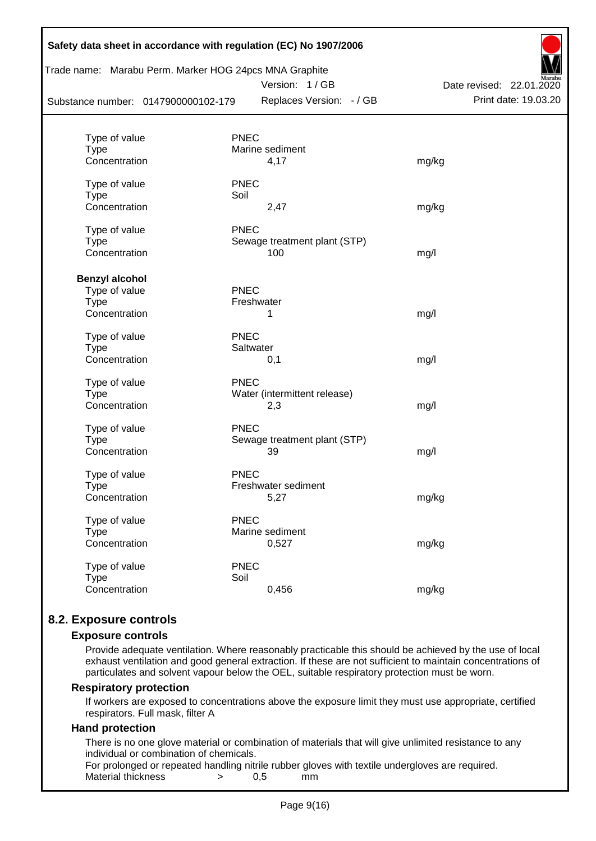| Substance number: 0147900000102-179 | Trade name: Marabu Perm. Marker HOG 24pcs MNA Graphite<br>Version: 1/GB<br>Replaces Version: - / GB | Aarabu<br>Date revised: 22.01.2020<br>Print date: 19.03.20 |
|-------------------------------------|-----------------------------------------------------------------------------------------------------|------------------------------------------------------------|
|                                     |                                                                                                     |                                                            |
| Type of value                       | <b>PNEC</b>                                                                                         |                                                            |
| <b>Type</b>                         | Marine sediment                                                                                     |                                                            |
| Concentration                       | 4,17                                                                                                | mg/kg                                                      |
| Type of value                       | <b>PNEC</b>                                                                                         |                                                            |
| <b>Type</b>                         | Soil                                                                                                |                                                            |
| Concentration                       | 2,47                                                                                                | mg/kg                                                      |
| Type of value                       | <b>PNEC</b>                                                                                         |                                                            |
| <b>Type</b>                         | Sewage treatment plant (STP)                                                                        |                                                            |
| Concentration                       | 100                                                                                                 | mg/l                                                       |
| <b>Benzyl alcohol</b>               |                                                                                                     |                                                            |
| Type of value                       | <b>PNEC</b>                                                                                         |                                                            |
| Type                                | Freshwater                                                                                          |                                                            |
| Concentration                       | 1                                                                                                   | mg/l                                                       |
| Type of value                       | <b>PNEC</b>                                                                                         |                                                            |
| <b>Type</b>                         | Saltwater                                                                                           |                                                            |
| Concentration                       | 0,1                                                                                                 | mg/l                                                       |
| Type of value                       | <b>PNEC</b>                                                                                         |                                                            |
| Type                                | Water (intermittent release)                                                                        |                                                            |
| Concentration                       | 2,3                                                                                                 | mg/l                                                       |
| Type of value                       | <b>PNEC</b>                                                                                         |                                                            |
| <b>Type</b>                         | Sewage treatment plant (STP)                                                                        |                                                            |
| Concentration                       | 39                                                                                                  | mg/l                                                       |
| Type of value                       | <b>PNEC</b>                                                                                         |                                                            |
| <b>Type</b>                         | Freshwater sediment                                                                                 |                                                            |
| Concentration                       | 5,27                                                                                                | mg/kg                                                      |
| Type of value                       | <b>PNEC</b>                                                                                         |                                                            |
| <b>Type</b>                         | Marine sediment                                                                                     |                                                            |
| Concentration                       | 0,527                                                                                               | mg/kg                                                      |
| Type of value                       | <b>PNEC</b>                                                                                         |                                                            |
| <b>Type</b>                         | Soil                                                                                                |                                                            |
| Concentration                       | 0,456                                                                                               | mg/kg                                                      |

## **8.2. Exposure controls**

#### **Exposure controls**

Provide adequate ventilation. Where reasonably practicable this should be achieved by the use of local exhaust ventilation and good general extraction. If these are not sufficient to maintain concentrations of particulates and solvent vapour below the OEL, suitable respiratory protection must be worn.

#### **Respiratory protection**

If workers are exposed to concentrations above the exposure limit they must use appropriate, certified respirators. Full mask, filter A

#### **Hand protection**

There is no one glove material or combination of materials that will give unlimited resistance to any individual or combination of chemicals.

For prolonged or repeated handling nitrile rubber gloves with textile undergloves are required. Material thickness  $\rightarrow$  0,5 mm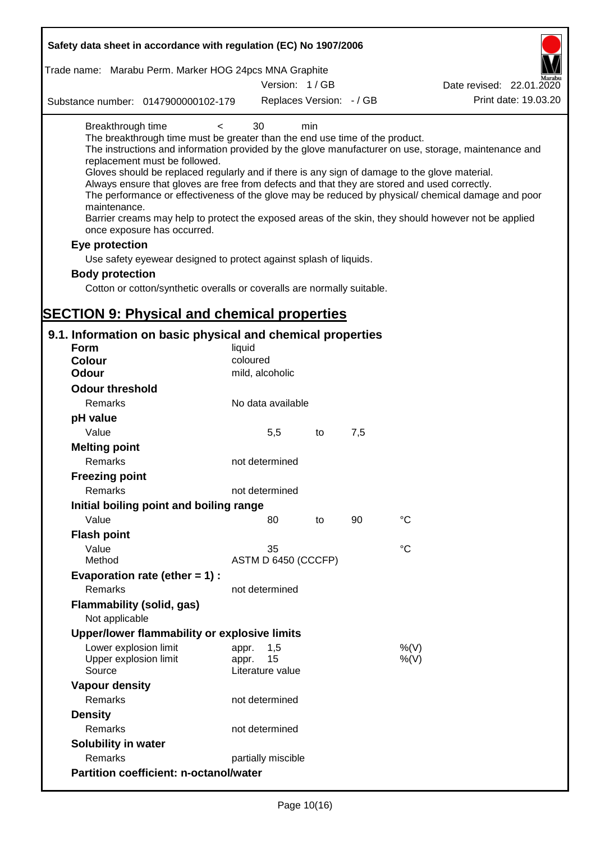| Safety data sheet in accordance with regulation (EC) No 1907/2006                                                                                                                                                                                                                                                                                                                          |                                                 |     |     |                                                                                                                                                                                                                                                                                                                    |
|--------------------------------------------------------------------------------------------------------------------------------------------------------------------------------------------------------------------------------------------------------------------------------------------------------------------------------------------------------------------------------------------|-------------------------------------------------|-----|-----|--------------------------------------------------------------------------------------------------------------------------------------------------------------------------------------------------------------------------------------------------------------------------------------------------------------------|
| Trade name: Marabu Perm. Marker HOG 24pcs MNA Graphite                                                                                                                                                                                                                                                                                                                                     |                                                 |     |     |                                                                                                                                                                                                                                                                                                                    |
|                                                                                                                                                                                                                                                                                                                                                                                            | Version: 1/GB                                   |     |     | Date revised: 22.01.2020                                                                                                                                                                                                                                                                                           |
| Substance number: 0147900000102-179                                                                                                                                                                                                                                                                                                                                                        | Replaces Version: - / GB                        |     |     | Print date: 19.03.20                                                                                                                                                                                                                                                                                               |
| Breakthrough time<br>$\,<$<br>The breakthrough time must be greater than the end use time of the product.<br>replacement must be followed.<br>Gloves should be replaced regularly and if there is any sign of damage to the glove material.<br>Always ensure that gloves are free from defects and that they are stored and used correctly.<br>maintenance.<br>once exposure has occurred. | 30                                              | min |     | The instructions and information provided by the glove manufacturer on use, storage, maintenance and<br>The performance or effectiveness of the glove may be reduced by physical/ chemical damage and poor<br>Barrier creams may help to protect the exposed areas of the skin, they should however not be applied |
| Eye protection                                                                                                                                                                                                                                                                                                                                                                             |                                                 |     |     |                                                                                                                                                                                                                                                                                                                    |
| Use safety eyewear designed to protect against splash of liquids.                                                                                                                                                                                                                                                                                                                          |                                                 |     |     |                                                                                                                                                                                                                                                                                                                    |
| <b>Body protection</b>                                                                                                                                                                                                                                                                                                                                                                     |                                                 |     |     |                                                                                                                                                                                                                                                                                                                    |
| Cotton or cotton/synthetic overalls or coveralls are normally suitable.                                                                                                                                                                                                                                                                                                                    |                                                 |     |     |                                                                                                                                                                                                                                                                                                                    |
|                                                                                                                                                                                                                                                                                                                                                                                            |                                                 |     |     |                                                                                                                                                                                                                                                                                                                    |
| <b>SECTION 9: Physical and chemical properties</b>                                                                                                                                                                                                                                                                                                                                         |                                                 |     |     |                                                                                                                                                                                                                                                                                                                    |
| 9.1. Information on basic physical and chemical properties                                                                                                                                                                                                                                                                                                                                 |                                                 |     |     |                                                                                                                                                                                                                                                                                                                    |
| <b>Form</b>                                                                                                                                                                                                                                                                                                                                                                                | liquid                                          |     |     |                                                                                                                                                                                                                                                                                                                    |
| <b>Colour</b>                                                                                                                                                                                                                                                                                                                                                                              | coloured                                        |     |     |                                                                                                                                                                                                                                                                                                                    |
| <b>Odour</b>                                                                                                                                                                                                                                                                                                                                                                               | mild, alcoholic                                 |     |     |                                                                                                                                                                                                                                                                                                                    |
| <b>Odour threshold</b>                                                                                                                                                                                                                                                                                                                                                                     |                                                 |     |     |                                                                                                                                                                                                                                                                                                                    |
| Remarks                                                                                                                                                                                                                                                                                                                                                                                    | No data available                               |     |     |                                                                                                                                                                                                                                                                                                                    |
| pH value                                                                                                                                                                                                                                                                                                                                                                                   |                                                 |     |     |                                                                                                                                                                                                                                                                                                                    |
| Value                                                                                                                                                                                                                                                                                                                                                                                      | 5,5                                             | to  | 7,5 |                                                                                                                                                                                                                                                                                                                    |
| <b>Melting point</b>                                                                                                                                                                                                                                                                                                                                                                       |                                                 |     |     |                                                                                                                                                                                                                                                                                                                    |
| Remarks                                                                                                                                                                                                                                                                                                                                                                                    | not determined                                  |     |     |                                                                                                                                                                                                                                                                                                                    |
| <b>Freezing point</b>                                                                                                                                                                                                                                                                                                                                                                      |                                                 |     |     |                                                                                                                                                                                                                                                                                                                    |
| Remarks                                                                                                                                                                                                                                                                                                                                                                                    | not determined                                  |     |     |                                                                                                                                                                                                                                                                                                                    |
| Initial boiling point and boiling range                                                                                                                                                                                                                                                                                                                                                    |                                                 |     |     |                                                                                                                                                                                                                                                                                                                    |
| Value                                                                                                                                                                                                                                                                                                                                                                                      | 80                                              | to  | 90  | $\rm ^{\circ}C$                                                                                                                                                                                                                                                                                                    |
| <b>Flash point</b>                                                                                                                                                                                                                                                                                                                                                                         |                                                 |     |     |                                                                                                                                                                                                                                                                                                                    |
| Value                                                                                                                                                                                                                                                                                                                                                                                      | 35                                              |     |     | °C                                                                                                                                                                                                                                                                                                                 |
| Method                                                                                                                                                                                                                                                                                                                                                                                     | ASTM D 6450 (CCCFP)                             |     |     |                                                                                                                                                                                                                                                                                                                    |
| Evaporation rate (ether $= 1$ ) :                                                                                                                                                                                                                                                                                                                                                          |                                                 |     |     |                                                                                                                                                                                                                                                                                                                    |
| Remarks                                                                                                                                                                                                                                                                                                                                                                                    | not determined                                  |     |     |                                                                                                                                                                                                                                                                                                                    |
| Flammability (solid, gas)<br>Not applicable                                                                                                                                                                                                                                                                                                                                                |                                                 |     |     |                                                                                                                                                                                                                                                                                                                    |
| Upper/lower flammability or explosive limits                                                                                                                                                                                                                                                                                                                                               |                                                 |     |     |                                                                                                                                                                                                                                                                                                                    |
| Lower explosion limit<br>Upper explosion limit<br>Source                                                                                                                                                                                                                                                                                                                                   | 1,5<br>appr.<br>15<br>appr.<br>Literature value |     |     | %(V)<br>%(V)                                                                                                                                                                                                                                                                                                       |
| <b>Vapour density</b>                                                                                                                                                                                                                                                                                                                                                                      |                                                 |     |     |                                                                                                                                                                                                                                                                                                                    |
| Remarks                                                                                                                                                                                                                                                                                                                                                                                    | not determined                                  |     |     |                                                                                                                                                                                                                                                                                                                    |
| <b>Density</b>                                                                                                                                                                                                                                                                                                                                                                             |                                                 |     |     |                                                                                                                                                                                                                                                                                                                    |
| Remarks                                                                                                                                                                                                                                                                                                                                                                                    | not determined                                  |     |     |                                                                                                                                                                                                                                                                                                                    |
| Solubility in water                                                                                                                                                                                                                                                                                                                                                                        |                                                 |     |     |                                                                                                                                                                                                                                                                                                                    |
| Remarks                                                                                                                                                                                                                                                                                                                                                                                    | partially miscible                              |     |     |                                                                                                                                                                                                                                                                                                                    |
| <b>Partition coefficient: n-octanol/water</b>                                                                                                                                                                                                                                                                                                                                              |                                                 |     |     |                                                                                                                                                                                                                                                                                                                    |
|                                                                                                                                                                                                                                                                                                                                                                                            |                                                 |     |     |                                                                                                                                                                                                                                                                                                                    |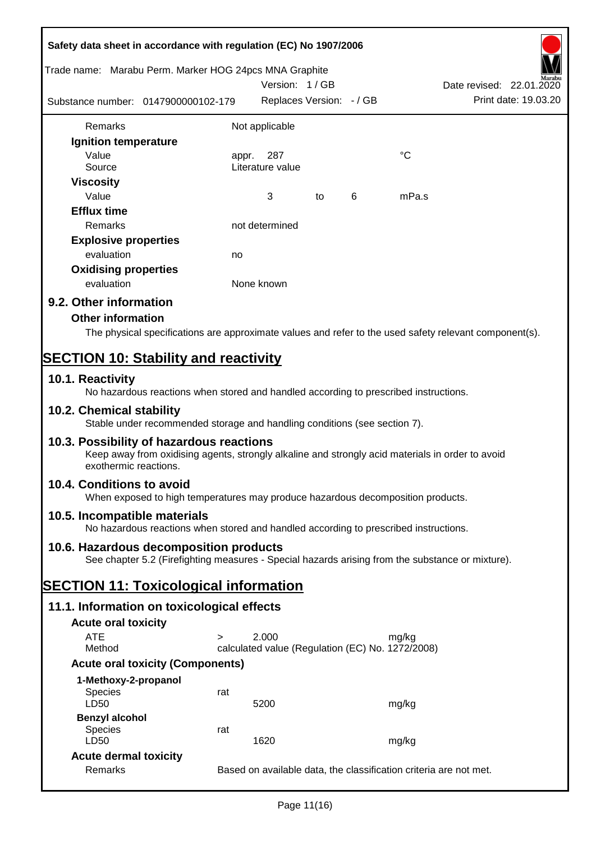| Safety data sheet in accordance with regulation (EC) No 1907/2006                                                                                                     |        |                                                  |    |   |                                                                   |                          |  |
|-----------------------------------------------------------------------------------------------------------------------------------------------------------------------|--------|--------------------------------------------------|----|---|-------------------------------------------------------------------|--------------------------|--|
| Trade name: Marabu Perm. Marker HOG 24pcs MNA Graphite                                                                                                                |        | Version: 1/GB                                    |    |   |                                                                   | Date revised: 22.01.2020 |  |
| Substance number: 0147900000102-179                                                                                                                                   |        | Replaces Version: - / GB                         |    |   |                                                                   | Print date: 19.03.20     |  |
| Remarks                                                                                                                                                               |        | Not applicable                                   |    |   |                                                                   |                          |  |
| Ignition temperature                                                                                                                                                  |        |                                                  |    |   |                                                                   |                          |  |
| Value                                                                                                                                                                 | appr.  | 287                                              |    |   | $^{\circ}C$                                                       |                          |  |
| Source                                                                                                                                                                |        | Literature value                                 |    |   |                                                                   |                          |  |
| <b>Viscosity</b>                                                                                                                                                      |        |                                                  |    |   |                                                                   |                          |  |
| Value                                                                                                                                                                 |        | 3                                                | to | 6 | mPa.s                                                             |                          |  |
| <b>Efflux time</b>                                                                                                                                                    |        |                                                  |    |   |                                                                   |                          |  |
| Remarks                                                                                                                                                               |        | not determined                                   |    |   |                                                                   |                          |  |
| <b>Explosive properties</b>                                                                                                                                           |        |                                                  |    |   |                                                                   |                          |  |
| evaluation                                                                                                                                                            | no     |                                                  |    |   |                                                                   |                          |  |
| <b>Oxidising properties</b>                                                                                                                                           |        |                                                  |    |   |                                                                   |                          |  |
| evaluation                                                                                                                                                            |        | None known                                       |    |   |                                                                   |                          |  |
| 9.2. Other information                                                                                                                                                |        |                                                  |    |   |                                                                   |                          |  |
| <b>Other information</b>                                                                                                                                              |        |                                                  |    |   |                                                                   |                          |  |
| The physical specifications are approximate values and refer to the used safety relevant component(s).                                                                |        |                                                  |    |   |                                                                   |                          |  |
| <b>SECTION 10: Stability and reactivity</b>                                                                                                                           |        |                                                  |    |   |                                                                   |                          |  |
| 10.1. Reactivity                                                                                                                                                      |        |                                                  |    |   |                                                                   |                          |  |
| No hazardous reactions when stored and handled according to prescribed instructions.<br>10.2. Chemical stability                                                      |        |                                                  |    |   |                                                                   |                          |  |
| Stable under recommended storage and handling conditions (see section 7).                                                                                             |        |                                                  |    |   |                                                                   |                          |  |
| 10.3. Possibility of hazardous reactions<br>Keep away from oxidising agents, strongly alkaline and strongly acid materials in order to avoid<br>exothermic reactions. |        |                                                  |    |   |                                                                   |                          |  |
| 10.4. Conditions to avoid<br>When exposed to high temperatures may produce hazardous decomposition products.                                                          |        |                                                  |    |   |                                                                   |                          |  |
| 10.5. Incompatible materials<br>No hazardous reactions when stored and handled according to prescribed instructions.                                                  |        |                                                  |    |   |                                                                   |                          |  |
| 10.6. Hazardous decomposition products<br>See chapter 5.2 (Firefighting measures - Special hazards arising from the substance or mixture).                            |        |                                                  |    |   |                                                                   |                          |  |
| <b>SECTION 11: Toxicological information</b>                                                                                                                          |        |                                                  |    |   |                                                                   |                          |  |
| 11.1. Information on toxicological effects                                                                                                                            |        |                                                  |    |   |                                                                   |                          |  |
| <b>Acute oral toxicity</b>                                                                                                                                            |        |                                                  |    |   |                                                                   |                          |  |
| <b>ATE</b>                                                                                                                                                            | $\geq$ | 2.000                                            |    |   | mg/kg                                                             |                          |  |
| Method                                                                                                                                                                |        | calculated value (Regulation (EC) No. 1272/2008) |    |   |                                                                   |                          |  |
| <b>Acute oral toxicity (Components)</b>                                                                                                                               |        |                                                  |    |   |                                                                   |                          |  |
| 1-Methoxy-2-propanol                                                                                                                                                  |        |                                                  |    |   |                                                                   |                          |  |
| Species<br>LD50                                                                                                                                                       | rat    | 5200                                             |    |   | mg/kg                                                             |                          |  |
| <b>Benzyl alcohol</b>                                                                                                                                                 |        |                                                  |    |   |                                                                   |                          |  |
| Species<br>LD50                                                                                                                                                       | rat    | 1620                                             |    |   | mg/kg                                                             |                          |  |
| <b>Acute dermal toxicity</b>                                                                                                                                          |        |                                                  |    |   |                                                                   |                          |  |
| Remarks                                                                                                                                                               |        |                                                  |    |   | Based on available data, the classification criteria are not met. |                          |  |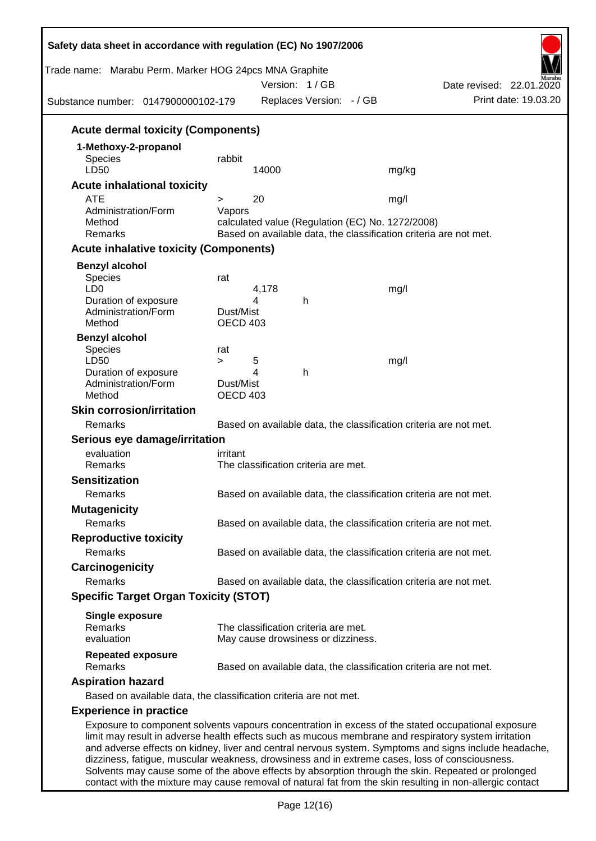| Safety data sheet in accordance with regulation (EC) No 1907/2006<br>Trade name: Marabu Perm. Marker HOG 24pcs MNA Graphite |                              |       | Version: 1/GB                        |                                                                   | Date revised: 22.01.2020                                                                                                                                                                                    |
|-----------------------------------------------------------------------------------------------------------------------------|------------------------------|-------|--------------------------------------|-------------------------------------------------------------------|-------------------------------------------------------------------------------------------------------------------------------------------------------------------------------------------------------------|
| Substance number: 0147900000102-179                                                                                         |                              |       | Replaces Version: - / GB             |                                                                   | Print date: 19.03.20                                                                                                                                                                                        |
| <b>Acute dermal toxicity (Components)</b>                                                                                   |                              |       |                                      |                                                                   |                                                                                                                                                                                                             |
| 1-Methoxy-2-propanol                                                                                                        |                              |       |                                      |                                                                   |                                                                                                                                                                                                             |
| <b>Species</b>                                                                                                              | rabbit                       |       |                                      |                                                                   |                                                                                                                                                                                                             |
| LD50                                                                                                                        |                              | 14000 |                                      | mg/kg                                                             |                                                                                                                                                                                                             |
| <b>Acute inhalational toxicity</b>                                                                                          |                              |       |                                      |                                                                   |                                                                                                                                                                                                             |
| <b>ATE</b>                                                                                                                  | >                            | 20    |                                      | mg/l                                                              |                                                                                                                                                                                                             |
| Administration/Form                                                                                                         | Vapors                       |       |                                      |                                                                   |                                                                                                                                                                                                             |
| Method                                                                                                                      |                              |       |                                      | calculated value (Regulation (EC) No. 1272/2008)                  |                                                                                                                                                                                                             |
| Remarks                                                                                                                     |                              |       |                                      | Based on available data, the classification criteria are not met. |                                                                                                                                                                                                             |
| <b>Acute inhalative toxicity (Components)</b>                                                                               |                              |       |                                      |                                                                   |                                                                                                                                                                                                             |
| <b>Benzyl alcohol</b>                                                                                                       |                              |       |                                      |                                                                   |                                                                                                                                                                                                             |
| Species                                                                                                                     | rat                          |       |                                      |                                                                   |                                                                                                                                                                                                             |
| LD <sub>0</sub>                                                                                                             |                              | 4,178 |                                      | mg/l                                                              |                                                                                                                                                                                                             |
| Duration of exposure                                                                                                        |                              | 4     | h                                    |                                                                   |                                                                                                                                                                                                             |
| Administration/Form<br>Method                                                                                               | Dust/Mist<br><b>OECD 403</b> |       |                                      |                                                                   |                                                                                                                                                                                                             |
|                                                                                                                             |                              |       |                                      |                                                                   |                                                                                                                                                                                                             |
| <b>Benzyl alcohol</b>                                                                                                       |                              |       |                                      |                                                                   |                                                                                                                                                                                                             |
| Species<br>LD50                                                                                                             | rat<br>$\geq$                | 5     |                                      | mg/l                                                              |                                                                                                                                                                                                             |
| Duration of exposure                                                                                                        |                              | 4     | h                                    |                                                                   |                                                                                                                                                                                                             |
| Administration/Form                                                                                                         | Dust/Mist                    |       |                                      |                                                                   |                                                                                                                                                                                                             |
| Method                                                                                                                      | <b>OECD 403</b>              |       |                                      |                                                                   |                                                                                                                                                                                                             |
| <b>Skin corrosion/irritation</b>                                                                                            |                              |       |                                      |                                                                   |                                                                                                                                                                                                             |
| Remarks                                                                                                                     |                              |       |                                      | Based on available data, the classification criteria are not met. |                                                                                                                                                                                                             |
| Serious eye damage/irritation                                                                                               |                              |       |                                      |                                                                   |                                                                                                                                                                                                             |
| evaluation                                                                                                                  | irritant                     |       |                                      |                                                                   |                                                                                                                                                                                                             |
| Remarks                                                                                                                     |                              |       | The classification criteria are met. |                                                                   |                                                                                                                                                                                                             |
| <b>Sensitization</b>                                                                                                        |                              |       |                                      |                                                                   |                                                                                                                                                                                                             |
| Remarks                                                                                                                     |                              |       |                                      | Based on available data, the classification criteria are not met. |                                                                                                                                                                                                             |
|                                                                                                                             |                              |       |                                      |                                                                   |                                                                                                                                                                                                             |
| <b>Mutagenicity</b>                                                                                                         |                              |       |                                      |                                                                   |                                                                                                                                                                                                             |
| Remarks                                                                                                                     |                              |       |                                      | Based on available data, the classification criteria are not met. |                                                                                                                                                                                                             |
| <b>Reproductive toxicity</b>                                                                                                |                              |       |                                      |                                                                   |                                                                                                                                                                                                             |
| Remarks                                                                                                                     |                              |       |                                      | Based on available data, the classification criteria are not met. |                                                                                                                                                                                                             |
| Carcinogenicity                                                                                                             |                              |       |                                      |                                                                   |                                                                                                                                                                                                             |
| Remarks                                                                                                                     |                              |       |                                      | Based on available data, the classification criteria are not met. |                                                                                                                                                                                                             |
| <b>Specific Target Organ Toxicity (STOT)</b>                                                                                |                              |       |                                      |                                                                   |                                                                                                                                                                                                             |
|                                                                                                                             |                              |       |                                      |                                                                   |                                                                                                                                                                                                             |
| <b>Single exposure</b><br>Remarks                                                                                           |                              |       | The classification criteria are met. |                                                                   |                                                                                                                                                                                                             |
| evaluation                                                                                                                  |                              |       | May cause drowsiness or dizziness.   |                                                                   |                                                                                                                                                                                                             |
|                                                                                                                             |                              |       |                                      |                                                                   |                                                                                                                                                                                                             |
| <b>Repeated exposure</b><br>Remarks                                                                                         |                              |       |                                      | Based on available data, the classification criteria are not met. |                                                                                                                                                                                                             |
|                                                                                                                             |                              |       |                                      |                                                                   |                                                                                                                                                                                                             |
| <b>Aspiration hazard</b>                                                                                                    |                              |       |                                      |                                                                   |                                                                                                                                                                                                             |
| Based on available data, the classification criteria are not met.                                                           |                              |       |                                      |                                                                   |                                                                                                                                                                                                             |
| <b>Experience in practice</b>                                                                                               |                              |       |                                      |                                                                   |                                                                                                                                                                                                             |
| limit may result in adverse health effects such as mucous membrane and respiratory system irritation                        |                              |       |                                      |                                                                   | Exposure to component solvents vapours concentration in excess of the stated occupational exposure<br>and adverse effects on kidney, liver and central nervous system. Symptoms and signs include headache, |

dizziness, fatigue, muscular weakness, drowsiness and in extreme cases, loss of consciousness. Solvents may cause some of the above effects by absorption through the skin. Repeated or prolonged contact with the mixture may cause removal of natural fat from the skin resulting in non-allergic contact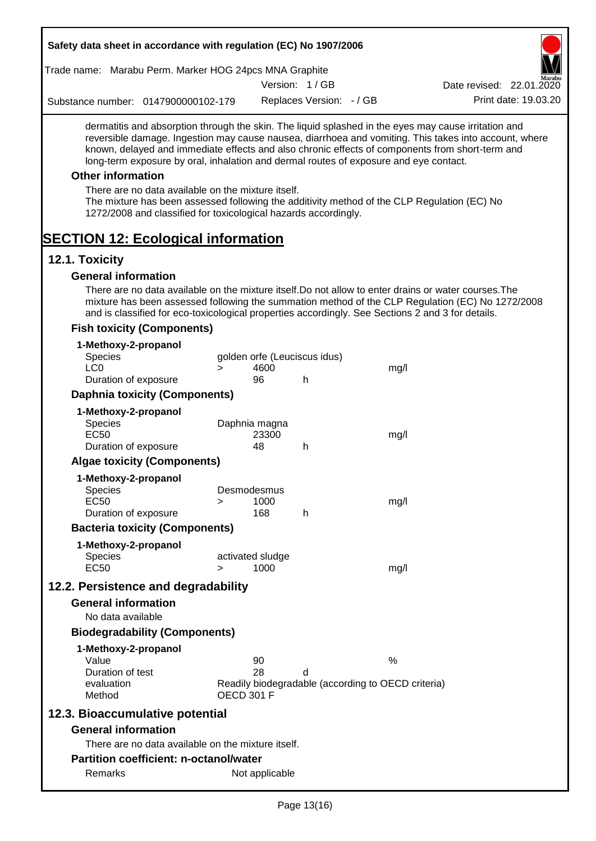| Trade name: Marabu Perm. Marker HOG 24pcs MNA Graphite                                                                                                                                                                                                                                                                                                                                                                                                                                                                                                                                                                                                        |                          |
|---------------------------------------------------------------------------------------------------------------------------------------------------------------------------------------------------------------------------------------------------------------------------------------------------------------------------------------------------------------------------------------------------------------------------------------------------------------------------------------------------------------------------------------------------------------------------------------------------------------------------------------------------------------|--------------------------|
| Version: 1/GB                                                                                                                                                                                                                                                                                                                                                                                                                                                                                                                                                                                                                                                 | Date revised: 22.01.2020 |
| Replaces Version: - / GB<br>Substance number: 0147900000102-179                                                                                                                                                                                                                                                                                                                                                                                                                                                                                                                                                                                               | Print date: 19.03.20     |
| dermatitis and absorption through the skin. The liquid splashed in the eyes may cause irritation and<br>reversible damage. Ingestion may cause nausea, diarrhoea and vomiting. This takes into account, where<br>known, delayed and immediate effects and also chronic effects of components from short-term and<br>long-term exposure by oral, inhalation and dermal routes of exposure and eye contact.<br><b>Other information</b><br>There are no data available on the mixture itself.<br>The mixture has been assessed following the additivity method of the CLP Regulation (EC) No<br>1272/2008 and classified for toxicological hazards accordingly. |                          |
| <b>SECTION 12: Ecological information</b>                                                                                                                                                                                                                                                                                                                                                                                                                                                                                                                                                                                                                     |                          |
| 12.1. Toxicity                                                                                                                                                                                                                                                                                                                                                                                                                                                                                                                                                                                                                                                |                          |
| <b>General information</b><br>There are no data available on the mixture itself. Do not allow to enter drains or water courses. The<br>mixture has been assessed following the summation method of the CLP Regulation (EC) No 1272/2008<br>and is classified for eco-toxicological properties accordingly. See Sections 2 and 3 for details.                                                                                                                                                                                                                                                                                                                  |                          |
| <b>Fish toxicity (Components)</b>                                                                                                                                                                                                                                                                                                                                                                                                                                                                                                                                                                                                                             |                          |
| 1-Methoxy-2-propanol<br>golden orfe (Leuciscus idus)<br><b>Species</b><br>LC <sub>0</sub><br>4600<br>mg/l<br>$\geq$<br>Duration of exposure<br>96<br>h                                                                                                                                                                                                                                                                                                                                                                                                                                                                                                        |                          |
| <b>Daphnia toxicity (Components)</b>                                                                                                                                                                                                                                                                                                                                                                                                                                                                                                                                                                                                                          |                          |
| 1-Methoxy-2-propanol                                                                                                                                                                                                                                                                                                                                                                                                                                                                                                                                                                                                                                          |                          |
| Daphnia magna<br><b>Species</b><br><b>EC50</b><br>23300<br>mg/l<br>Duration of exposure<br>48<br>h                                                                                                                                                                                                                                                                                                                                                                                                                                                                                                                                                            |                          |
| <b>Algae toxicity (Components)</b>                                                                                                                                                                                                                                                                                                                                                                                                                                                                                                                                                                                                                            |                          |
| 1-Methoxy-2-propanol                                                                                                                                                                                                                                                                                                                                                                                                                                                                                                                                                                                                                                          |                          |
| Desmodesmus<br><b>Species</b><br>EC <sub>50</sub><br>1000<br>mg/l<br>>                                                                                                                                                                                                                                                                                                                                                                                                                                                                                                                                                                                        |                          |
| 168<br>Duration of exposure<br>h                                                                                                                                                                                                                                                                                                                                                                                                                                                                                                                                                                                                                              |                          |
| <b>Bacteria toxicity (Components)</b>                                                                                                                                                                                                                                                                                                                                                                                                                                                                                                                                                                                                                         |                          |
| 1-Methoxy-2-propanol<br><b>Species</b><br>activated sludge<br><b>EC50</b><br>1000<br>mg/l<br>$\geq$                                                                                                                                                                                                                                                                                                                                                                                                                                                                                                                                                           |                          |
| 12.2. Persistence and degradability                                                                                                                                                                                                                                                                                                                                                                                                                                                                                                                                                                                                                           |                          |
| <b>General information</b><br>No data available                                                                                                                                                                                                                                                                                                                                                                                                                                                                                                                                                                                                               |                          |
| <b>Biodegradability (Components)</b>                                                                                                                                                                                                                                                                                                                                                                                                                                                                                                                                                                                                                          |                          |
| 1-Methoxy-2-propanol<br>$\%$<br>Value<br>90<br>Duration of test<br>28<br>d<br>Readily biodegradable (according to OECD criteria)<br>evaluation<br><b>OECD 301 F</b><br>Method                                                                                                                                                                                                                                                                                                                                                                                                                                                                                 |                          |
| 12.3. Bioaccumulative potential                                                                                                                                                                                                                                                                                                                                                                                                                                                                                                                                                                                                                               |                          |
| <b>General information</b>                                                                                                                                                                                                                                                                                                                                                                                                                                                                                                                                                                                                                                    |                          |
| There are no data available on the mixture itself.                                                                                                                                                                                                                                                                                                                                                                                                                                                                                                                                                                                                            |                          |
| <b>Partition coefficient: n-octanol/water</b>                                                                                                                                                                                                                                                                                                                                                                                                                                                                                                                                                                                                                 |                          |
| Remarks<br>Not applicable                                                                                                                                                                                                                                                                                                                                                                                                                                                                                                                                                                                                                                     |                          |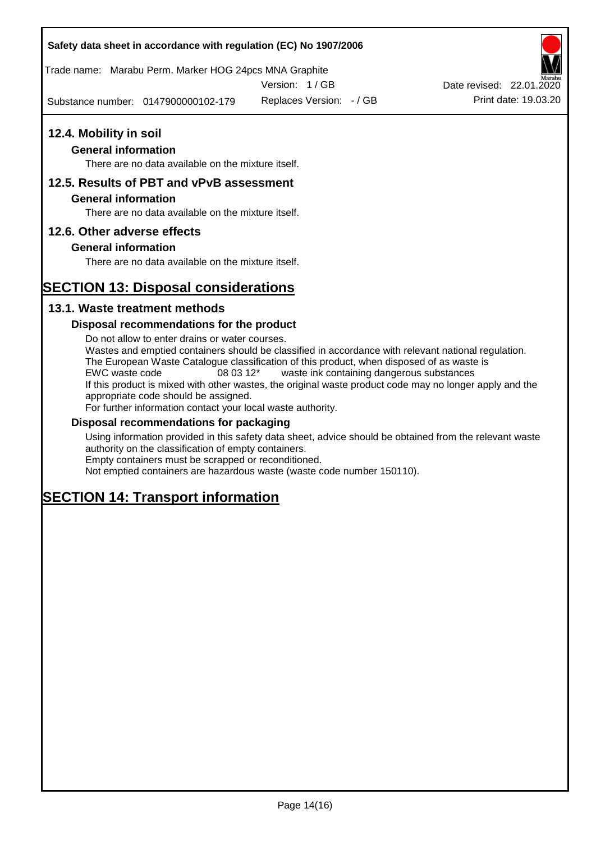Trade name: Marabu Perm. Marker HOG 24pcs MNA Graphite

Version: 1 / GB

Substance number: 0147900000102-179

Replaces Version: - / GB Print date: 19.03.20 Date revised: 22.01.2020

# **12.4. Mobility in soil**

## **General information**

There are no data available on the mixture itself.

## **12.5. Results of PBT and vPvB assessment**

#### **General information**

There are no data available on the mixture itself.

## **12.6. Other adverse effects**

## **General information**

There are no data available on the mixture itself.

# **SECTION 13: Disposal considerations**

## **13.1. Waste treatment methods**

## **Disposal recommendations for the product**

Do not allow to enter drains or water courses. Wastes and emptied containers should be classified in accordance with relevant national regulation. The European Waste Catalogue classification of this product, when disposed of as waste is EWC waste code 08 03 12\* waste ink containing dangerous substances If this product is mixed with other wastes, the original waste product code may no longer apply and the appropriate code should be assigned. For further information contact your local waste authority.

## **Disposal recommendations for packaging**

Using information provided in this safety data sheet, advice should be obtained from the relevant waste authority on the classification of empty containers. Empty containers must be scrapped or reconditioned.

Not emptied containers are hazardous waste (waste code number 150110).

# **SECTION 14: Transport information**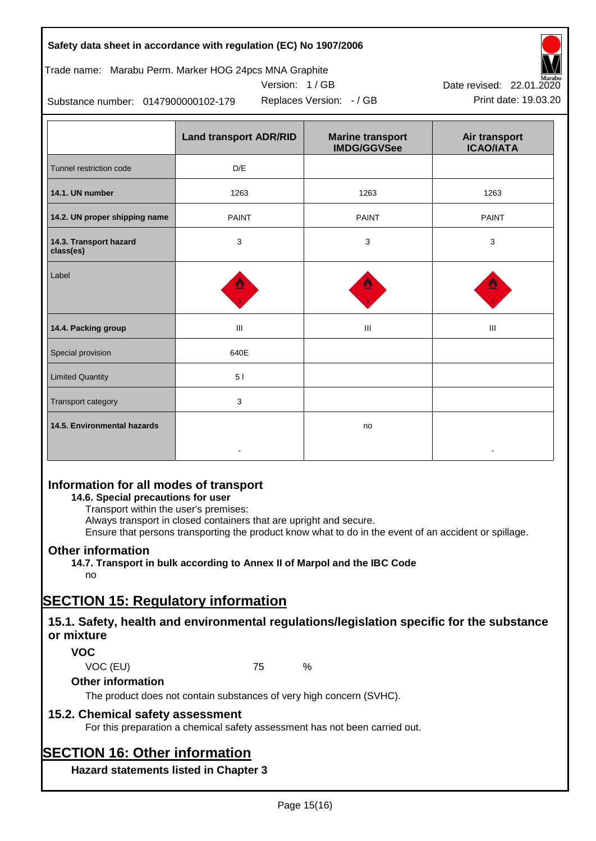| Safety data sheet in accordance with regulation (EC) No 1907/2006 |  |
|-------------------------------------------------------------------|--|
|-------------------------------------------------------------------|--|

## Trade name: Marabu Perm. Marker HOG 24pcs MNA Graphite



Replaces Version: - / GB Print date: 19.03.20



Substance number: 0147900000102-179

|                                     | <b>Land transport ADR/RID</b> | <b>Marine transport</b><br><b>IMDG/GGVSee</b> | Air transport<br><b>ICAO/IATA</b> |
|-------------------------------------|-------------------------------|-----------------------------------------------|-----------------------------------|
| Tunnel restriction code             | D/E                           |                                               |                                   |
| 14.1. UN number                     | 1263                          | 1263                                          | 1263                              |
| 14.2. UN proper shipping name       | <b>PAINT</b>                  | <b>PAINT</b>                                  | <b>PAINT</b>                      |
| 14.3. Transport hazard<br>class(es) | 3                             | 3                                             | 3                                 |
| Label                               | ฃ                             |                                               |                                   |
| 14.4. Packing group                 | $\mathbf{III}$                | Ш                                             | Ш                                 |
| Special provision                   | 640E                          |                                               |                                   |
| <b>Limited Quantity</b>             | 51                            |                                               |                                   |
| Transport category                  | 3                             |                                               |                                   |
| 14.5. Environmental hazards         |                               | no                                            |                                   |

# **Information for all modes of transport**

## **14.6. Special precautions for user**

Transport within the user's premises:

Always transport in closed containers that are upright and secure.

Ensure that persons transporting the product know what to do in the event of an accident or spillage.

## **Other information**

**14.7. Transport in bulk according to Annex II of Marpol and the IBC Code** no

# **SECTION 15: Regulatory information**

## **15.1. Safety, health and environmental regulations/legislation specific for the substance or mixture**

## **VOC**

VOC (EU) 75 %

## **Other information**

The product does not contain substances of very high concern (SVHC).

## **15.2. Chemical safety assessment**

For this preparation a chemical safety assessment has not been carried out.

# **SECTION 16: Other information**

**Hazard statements listed in Chapter 3**